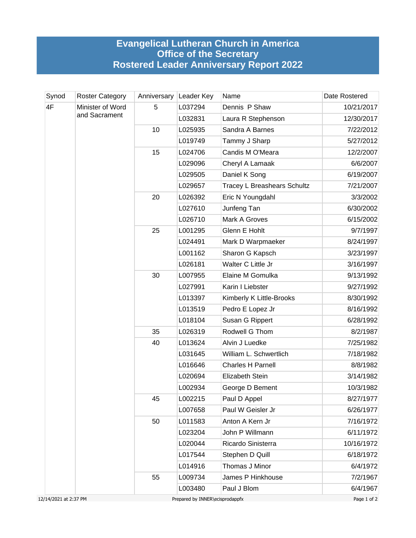## **Evangelical Lutheran Church in America Office of the Secretary Rostered Leader Anniversary Report 2022**

| Synod | <b>Roster Category</b>            | Anniversary | Leader Key | Name                               | Date Rostered |
|-------|-----------------------------------|-------------|------------|------------------------------------|---------------|
| 4F    | Minister of Word<br>and Sacrament | 5           | L037294    | Dennis P Shaw                      | 10/21/2017    |
|       |                                   |             | L032831    | Laura R Stephenson                 | 12/30/2017    |
|       |                                   | 10          | L025935    | Sandra A Barnes                    | 7/22/2012     |
|       |                                   |             | L019749    | Tammy J Sharp                      | 5/27/2012     |
|       |                                   | 15          | L024706    | Candis M O'Meara                   | 12/2/2007     |
|       |                                   |             | L029096    | Cheryl A Lamaak                    | 6/6/2007      |
|       |                                   |             | L029505    | Daniel K Song                      | 6/19/2007     |
|       |                                   |             | L029657    | <b>Tracey L Breashears Schultz</b> | 7/21/2007     |
|       |                                   | 20          | L026392    | Eric N Youngdahl                   | 3/3/2002      |
|       |                                   |             | L027610    | Junfeng Tan                        | 6/30/2002     |
|       |                                   |             | L026710    | Mark A Groves                      | 6/15/2002     |
|       |                                   | 25          | L001295    | Glenn E Hohlt                      | 9/7/1997      |
|       |                                   |             | L024491    | Mark D Warpmaeker                  | 8/24/1997     |
|       |                                   |             | L001162    | Sharon G Kapsch                    | 3/23/1997     |
|       |                                   |             | L026181    | Walter C Little Jr                 | 3/16/1997     |
|       |                                   | 30          | L007955    | Elaine M Gomulka                   | 9/13/1992     |
|       |                                   |             | L027991    | Karin I Liebster                   | 9/27/1992     |
|       |                                   |             | L013397    | Kimberly K Little-Brooks           | 8/30/1992     |
|       |                                   |             | L013519    | Pedro E Lopez Jr                   | 8/16/1992     |
|       |                                   |             | L018104    | Susan G Rippert                    | 6/28/1992     |
|       |                                   | 35          | L026319    | Rodwell G Thom                     | 8/2/1987      |
|       |                                   | 40          | L013624    | Alvin J Luedke                     | 7/25/1982     |
|       |                                   |             | L031645    | William L. Schwertlich             | 7/18/1982     |
|       |                                   |             | L016646    | <b>Charles H Parnell</b>           | 8/8/1982      |
|       |                                   |             | L020694    | Elizabeth Stein                    | 3/14/1982     |
|       |                                   |             | L002934    | George D Bement                    | 10/3/1982     |
|       |                                   | 45          | L002215    | Paul D Appel                       | 8/27/1977     |
|       |                                   |             | L007658    | Paul W Geisler Jr                  | 6/26/1977     |
|       |                                   | 50          | L011583    | Anton A Kern Jr                    | 7/16/1972     |
|       |                                   |             | L023204    | John P Willmann                    | 6/11/1972     |
|       |                                   |             | L020044    | Ricardo Sinisterra                 | 10/16/1972    |
|       |                                   |             | L017544    | Stephen D Quill                    | 6/18/1972     |
|       |                                   |             | L014916    | Thomas J Minor                     | 6/4/1972      |
|       |                                   | 55          | L009734    | James P Hinkhouse                  | 7/2/1967      |
|       |                                   |             | L003480    | Paul J Blom                        | 6/4/1967      |